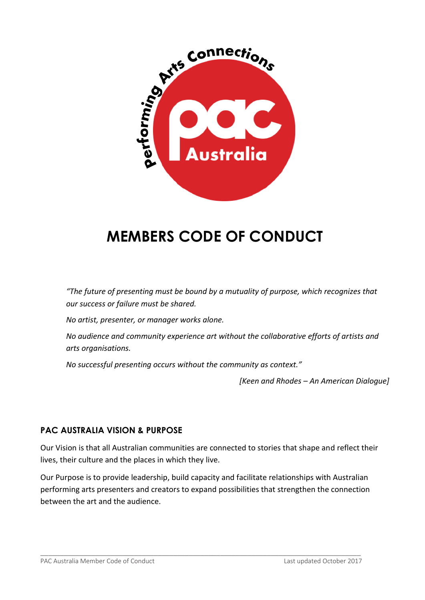

## **MEMBERS CODE OF CONDUCT**

*"The future of presenting must be bound by a mutuality of purpose, which recognizes that our success or failure must be shared.* 

*No artist, presenter, or manager works alone.* 

*No audience and community experience art without the collaborative efforts of artists and arts organisations.* 

*No successful presenting occurs without the community as context."*

*[Keen and Rhodes – An American Dialogue]*

## **PAC AUSTRALIA VISION & PURPOSE**

Our Vision is that all Australian communities are connected to stories that shape and reflect their lives, their culture and the places in which they live.

Our Purpose is to provide leadership, build capacity and facilitate relationships with Australian performing arts presenters and creators to expand possibilities that strengthen the connection between the art and the audience.

\_\_\_\_\_\_\_\_\_\_\_\_\_\_\_\_\_\_\_\_\_\_\_\_\_\_\_\_\_\_\_\_\_\_\_\_\_\_\_\_\_\_\_\_\_\_\_\_\_\_\_\_\_\_\_\_\_\_\_\_\_\_\_\_\_\_\_\_\_\_\_\_\_\_\_\_\_\_\_\_\_\_